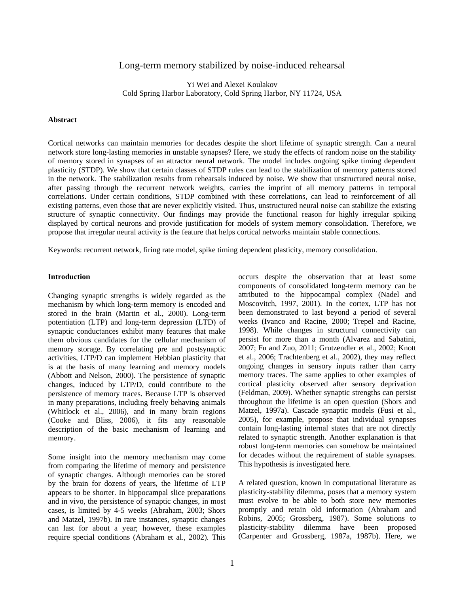# Long-term memory stabilized by noise-induced rehearsal

Yi Wei and Alexei Koulakov Cold Spring Harbor Laboratory, Cold Spring Harbor, NY 11724, USA

### **Abstract**

Cortical networks can maintain memories for decades despite the short lifetime of synaptic strength. Can a neural network store long-lasting memories in unstable synapses? Here, we study the effects of random noise on the stability of memory stored in synapses of an attractor neural network. The model includes ongoing spike timing dependent plasticity (STDP). We show that certain classes of STDP rules can lead to the stabilization of memory patterns stored in the network. The stabilization results from rehearsals induced by noise. We show that unstructured neural noise, after passing through the recurrent network weights, carries the imprint of all memory patterns in temporal correlations. Under certain conditions, STDP combined with these correlations, can lead to reinforcement of all existing patterns, even those that are never explicitly visited. Thus, unstructured neural noise can stabilize the existing structure of synaptic connectivity. Our findings may provide the functional reason for highly irregular spiking displayed by cortical neurons and provide justification for models of system memory consolidation. Therefore, we propose that irregular neural activity is the feature that helps cortical networks maintain stable connections.

Keywords: recurrent network, firing rate model, spike timing dependent plasticity, memory consolidation.

## **Introduction**

Changing synaptic strengths is widely regarded as the mechanism by which long-term memory is encoded and stored in the brain (Martin et al., 2000). Long-term potentiation (LTP) and long-term depression (LTD) of synaptic conductances exhibit many features that make them obvious candidates for the cellular mechanism of memory storage. By correlating pre and postsynaptic activities, LTP/D can implement Hebbian plasticity that is at the basis of many learning and memory models (Abbott and Nelson, 2000). The persistence of synaptic changes, induced by LTP/D, could contribute to the persistence of memory traces. Because LTP is observed in many preparations, including freely behaving animals (Whitlock et al., 2006), and in many brain regions (Cooke and Bliss, 2006), it fits any reasonable description of the basic mechanism of learning and memory.

Some insight into the memory mechanism may come from comparing the lifetime of memory and persistence of synaptic changes. Although memories can be stored by the brain for dozens of years, the lifetime of LTP appears to be shorter. In hippocampal slice preparations and in vivo, the persistence of synaptic changes, in most cases, is limited by 4-5 weeks (Abraham, 2003; Shors and Matzel, 1997b). In rare instances, synaptic changes can last for about a year; however, these examples require special conditions (Abraham et al., 2002). This

occurs despite the observation that at least some components of consolidated long-term memory can be attributed to the hippocampal complex (Nadel and Moscovitch, 1997, 2001). In the cortex, LTP has not been demonstrated to last beyond a period of several weeks (Ivanco and Racine, 2000; Trepel and Racine, 1998). While changes in structural connectivity can persist for more than a month (Alvarez and Sabatini, 2007; Fu and Zuo, 2011; Grutzendler et al., 2002; Knott et al., 2006; Trachtenberg et al., 2002), they may reflect ongoing changes in sensory inputs rather than carry memory traces. The same applies to other examples of cortical plasticity observed after sensory deprivation (Feldman, 2009). Whether synaptic strengths can persist throughout the lifetime is an open question (Shors and Matzel, 1997a). Cascade synaptic models (Fusi et al., 2005), for example, propose that individual synapses contain long-lasting internal states that are not directly related to synaptic strength. Another explanation is that robust long-term memories can somehow be maintained for decades without the requirement of stable synapses. This hypothesis is investigated here.

A related question, known in computational literature as plasticity-stability dilemma, poses that a memory system must evolve to be able to both store new memories promptly and retain old information (Abraham and Robins, 2005; Grossberg, 1987). Some solutions to plasticity-stability dilemma have been proposed (Carpenter and Grossberg, 1987a, 1987b). Here, we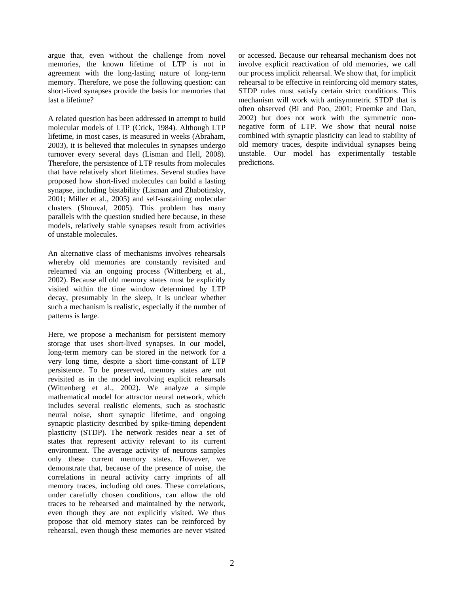argue that, even without the challenge from novel memories, the known lifetime of LTP is not in agreement with the long-lasting nature of long-term memory. Therefore, we pose the following question: can short-lived synapses provide the basis for memories that last a lifetime?

A related question has been addressed in attempt to build molecular models of LTP (Crick, 1984). Although LTP lifetime, in most cases, is measured in weeks (Abraham, 2003), it is believed that molecules in synapses undergo turnover every several days (Lisman and Hell, 2008). Therefore, the persistence of LTP results from molecules that have relatively short lifetimes. Several studies have proposed how short-lived molecules can build a lasting synapse, including bistability (Lisman and Zhabotinsky, 2001; Miller et al., 2005) and self-sustaining molecular clusters (Shouval, 2005). This problem has many parallels with the question studied here because, in these models, relatively stable synapses result from activities of unstable molecules.

An alternative class of mechanisms involves rehearsals whereby old memories are constantly revisited and relearned via an ongoing process (Wittenberg et al., 2002). Because all old memory states must be explicitly visited within the time window determined by LTP decay, presumably in the sleep, it is unclear whether such a mechanism is realistic, especially if the number of patterns is large.

Here, we propose a mechanism for persistent memory storage that uses short-lived synapses. In our model, long-term memory can be stored in the network for a very long time, despite a short time-constant of LTP persistence. To be preserved, memory states are not revisited as in the model involving explicit rehearsals (Wittenberg et al., 2002). We analyze a simple mathematical model for attractor neural network, which includes several realistic elements, such as stochastic neural noise, short synaptic lifetime, and ongoing synaptic plasticity described by spike-timing dependent plasticity (STDP). The network resides near a set of states that represent activity relevant to its current environment. The average activity of neurons samples only these current memory states. However, we demonstrate that, because of the presence of noise, the correlations in neural activity carry imprints of all memory traces, including old ones. These correlations, under carefully chosen conditions, can allow the old traces to be rehearsed and maintained by the network, even though they are not explicitly visited. We thus propose that old memory states can be reinforced by rehearsal, even though these memories are never visited

or accessed. Because our rehearsal mechanism does not involve explicit reactivation of old memories, we call our process implicit rehearsal. We show that, for implicit rehearsal to be effective in reinforcing old memory states, STDP rules must satisfy certain strict conditions. This mechanism will work with antisymmetric STDP that is often observed (Bi and Poo, 2001; Froemke and Dan, 2002) but does not work with the symmetric nonnegative form of LTP. We show that neural noise combined with synaptic plasticity can lead to stability of old memory traces, despite individual synapses being unstable. Our model has experimentally testable predictions.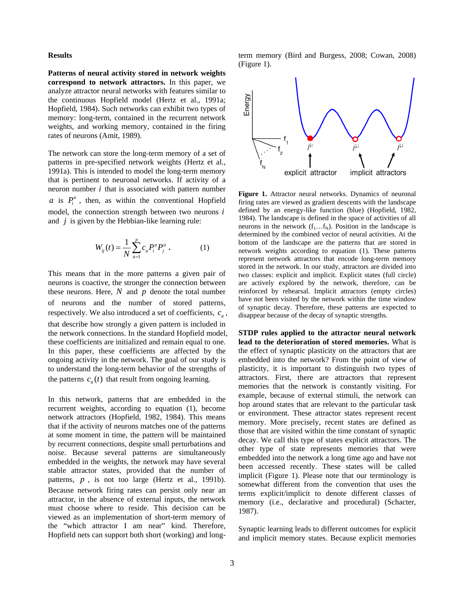#### **Results**

**Patterns of neural activity stored in network weights correspond to network attractors.** In this paper, we analyze attractor neural networks with features similar to the continuous Hopfield model (Hertz et al., 1991a; Hopfield, 1984). Such networks can exhibit two types of memory: long-term, contained in the recurrent network weights, and working memory, contained in the firing rates of neurons (Amit, 1989).

The network can store the long-term memory of a set of patterns in pre-specified network weights (Hertz et al., 1991a). This is intended to model the long-term memory that is pertinent to neuronal networks. If activity of a neuron number *i* that is associated with pattern number *a* is  $P_i^a$ , then, as within the conventional Hopfield model, the connection strength between two neurons *i* and *j* is given by the Hebbian-like learning rule:

$$
W_{ij}(t) = \frac{1}{N} \sum_{a=1}^{p} c_a P_i^a P_j^a . \qquad (1)
$$

This means that in the more patterns a given pair of neurons is coactive, the stronger the connection between these neurons. Here,  $N$  and  $p$  denote the total number of neurons and the number of stored patterns, respectively. We also introduced a set of coefficients,  $c_a$ , that describe how strongly a given pattern is included in the network connections. In the standard Hopfield model, these coefficients are initialized and remain equal to one. In this paper, these coefficients are affected by the ongoing activity in the network. The goal of our study is to understand the long-term behavior of the strengths of the patterns  $c_a(t)$  that result from ongoing learning.

In this network, patterns that are embedded in the recurrent weights, according to equation (1), become network attractors (Hopfield, 1982, 1984). This means that if the activity of neurons matches one of the patterns at some moment in time, the pattern will be maintained by recurrent connections, despite small perturbations and noise. Because several patterns are simultaneously embedded in the weights, the network may have several stable attractor states, provided that the number of patterns, p, is not too large (Hertz et al., 1991b). Because network firing rates can persist only near an attractor, in the absence of external inputs, the network must choose where to reside. This decision can be viewed as an implementation of short-term memory of the "which attractor I am near" kind. Therefore, Hopfield nets can support both short (working) and longterm memory (Bird and Burgess, 2008; Cowan, 2008) (Figure 1).



**Figure 1.** Attractor neural networks. Dynamics of neuronal firing rates are viewed as gradient descents with the landscape defined by an energy-like function (blue) (Hopfield, 1982, 1984). The landscape is defined in the space of activities of all neurons in the network  $(f_1...f_N)$ . Position in the landscape is determined by the combined vector of neural activities. At the bottom of the landscape are the patterns that are stored in network weights according to equation (1). These patterns represent network attractors that encode long-term memory stored in the network. In our study, attractors are divided into two classes: explicit and implicit. Explicit states (full circle) are actively explored by the network, therefore, can be reinforced by rehearsal. Implicit attractors (empty circles) have not been visited by the network within the time window of synaptic decay. Therefore, these patterns are expected to disappear because of the decay of synaptic strengths.

**STDP rules applied to the attractor neural network lead to the deterioration of stored memories.** What is the effect of synaptic plasticity on the attractors that are embedded into the network? From the point of view of plasticity, it is important to distinguish two types of attractors. First, there are attractors that represent memories that the network is constantly visiting. For example, because of external stimuli, the network can hop around states that are relevant to the particular task or environment. These attractor states represent recent memory. More precisely, recent states are defined as those that are visited within the time constant of synaptic decay. We call this type of states explicit attractors. The other type of state represents memories that were embedded into the network a long time ago and have not been accessed recently. These states will be called implicit (Figure 1). Please note that our terminology is somewhat different from the convention that uses the terms explicit/implicit to denote different classes of memory (i.e., declarative and procedural) (Schacter, 1987).

Synaptic learning leads to different outcomes for explicit and implicit memory states. Because explicit memories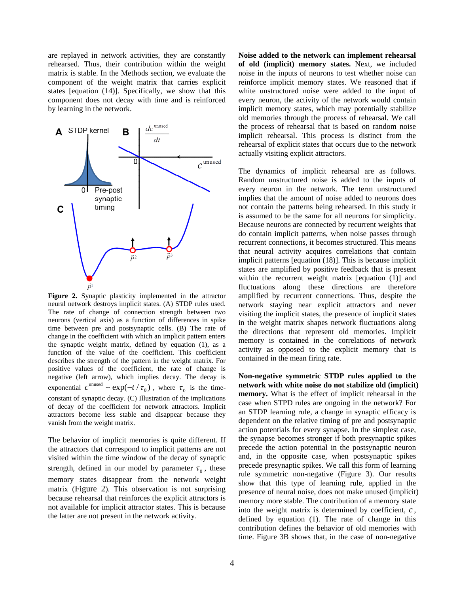are replayed in network activities, they are constantly rehearsed. Thus, their contribution within the weight matrix is stable. In the Methods section, we evaluate the component of the weight matrix that carries explicit states [equation (14)]. Specifically, we show that this component does not decay with time and is reinforced by learning in the network.



**Figure 2.** Synaptic plasticity implemented in the attractor neural network destroys implicit states. (A) STDP rules used. The rate of change of connection strength between two neurons (vertical axis) as a function of differences in spike time between pre and postsynaptic cells. (B) The rate of change in the coefficient with which an implicit pattern enters the synaptic weight matrix, defined by equation (1), as a function of the value of the coefficient. This coefficient describes the strength of the pattern in the weight matrix. For positive values of the coefficient, the rate of change is negative (left arrow), which implies decay. The decay is exponential  $c^{\text{unused}} \sim \exp(-t / \tau_0)$ , where  $\tau_0$  is the timeconstant of synaptic decay. (C) Illustration of the implications of decay of the coefficient for network attractors. Implicit attractors become less stable and disappear because they vanish from the weight matrix.

The behavior of implicit memories is quite different. If the attractors that correspond to implicit patterns are not visited within the time window of the decay of synaptic strength, defined in our model by parameter  $\tau_0$ , these memory states disappear from the network weight matrix (Figure 2). This observation is not surprising because rehearsal that reinforces the explicit attractors is not available for implicit attractor states. This is because the latter are not present in the network activity.

**Noise added to the network can implement rehearsal of old (implicit) memory states.** Next, we included noise in the inputs of neurons to test whether noise can reinforce implicit memory states. We reasoned that if white unstructured noise were added to the input of every neuron, the activity of the network would contain implicit memory states, which may potentially stabilize old memories through the process of rehearsal. We call the process of rehearsal that is based on random noise implicit rehearsal. This process is distinct from the rehearsal of explicit states that occurs due to the network actually visiting explicit attractors.

The dynamics of implicit rehearsal are as follows. Random unstructured noise is added to the inputs of every neuron in the network. The term unstructured implies that the amount of noise added to neurons does not contain the patterns being rehearsed. In this study it is assumed to be the same for all neurons for simplicity. Because neurons are connected by recurrent weights that do contain implicit patterns, when noise passes through recurrent connections, it becomes structured. This means that neural activity acquires correlations that contain implicit patterns [equation (18)]. This is because implicit states are amplified by positive feedback that is present within the recurrent weight matrix [equation (1)] and fluctuations along these directions are therefore amplified by recurrent connections. Thus, despite the network staying near explicit attractors and never visiting the implicit states, the presence of implicit states in the weight matrix shapes network fluctuations along the directions that represent old memories. Implicit memory is contained in the correlations of network activity as opposed to the explicit memory that is contained in the mean firing rate.

**Non-negative symmetric STDP rules applied to the network with white noise do not stabilize old (implicit) memory.** What is the effect of implicit rehearsal in the case when STPD rules are ongoing in the network? For an STDP learning rule, a change in synaptic efficacy is dependent on the relative timing of pre and postsynaptic action potentials for every synapse. In the simplest case, the synapse becomes stronger if both presynaptic spikes precede the action potential in the postsynaptic neuron and, in the opposite case, when postsynaptic spikes precede presynaptic spikes. We call this form of learning rule symmetric non-negative (Figure 3). Our results show that this type of learning rule, applied in the presence of neural noise, does not make unused (implicit) memory more stable. The contribution of a memory state into the weight matrix is determined by coefficient, *c* , defined by equation (1). The rate of change in this contribution defines the behavior of old memories with time. Figure 3B shows that, in the case of non-negative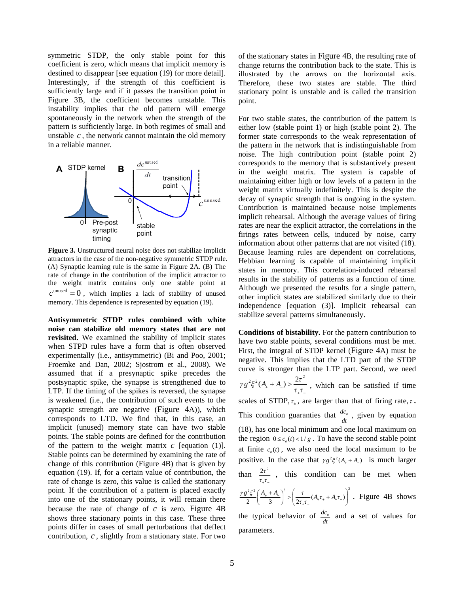symmetric STDP, the only stable point for this coefficient is zero, which means that implicit memory is destined to disappear [see equation (19) for more detail]. Interestingly, if the strength of this coefficient is sufficiently large and if it passes the transition point in Figure 3B, the coefficient becomes unstable. This instability implies that the old pattern will emerge spontaneously in the network when the strength of the pattern is sufficiently large. In both regimes of small and unstable  $c$ , the network cannot maintain the old memory in a reliable manner.



**Figure 3.** Unstructured neural noise does not stabilize implicit attractors in the case of the non-negative symmetric STDP rule. (A) Synaptic learning rule is the same in Figure 2A. (B) The rate of change in the contribution of the implicit attractor to the weight matrix contains only one stable point at  $c^{\text{unused}} = 0$ , which implies a lack of stability of unused memory. This dependence is represented by equation (19).

**Antisymmetric STDP rules combined with white noise can stabilize old memory states that are not revisited.** We examined the stability of implicit states when STPD rules have a form that is often observed experimentally (i.e., antisymmetric) (Bi and Poo, 2001; Froemke and Dan, 2002; Sjostrom et al., 2008). We assumed that if a presynaptic spike precedes the postsynaptic spike, the synapse is strengthened due to LTP. If the timing of the spikes is reversed, the synapse is weakened (i.e., the contribution of such events to the synaptic strength are negative (Figure 4A)), which corresponds to LTD. We find that, in this case, an implicit (unused) memory state can have two stable points. The stable points are defined for the contribution of the pattern to the weight matrix *c* [equation (1)]. Stable points can be determined by examining the rate of change of this contribution (Figure 4B) that is given by equation (19). If, for a certain value of contribution, the rate of change is zero, this value is called the stationary point. If the contribution of a pattern is placed exactly into one of the stationary points, it will remain there because the rate of change of  $c$  is zero. Figure  $4B$ shows three stationary points in this case. These three points differ in cases of small perturbations that deflect contribution, *c* , slightly from a stationary state. For two of the stationary states in Figure 4B, the resulting rate of change returns the contribution back to the state. This is illustrated by the arrows on the horizontal axis. Therefore, these two states are stable. The third stationary point is unstable and is called the transition point.

For two stable states, the contribution of the pattern is either low (stable point 1) or high (stable point 2). The former state corresponds to the weak representation of the pattern in the network that is indistinguishable from noise. The high contribution point (stable point 2) corresponds to the memory that is substantively present in the weight matrix. The system is capable of maintaining either high or low levels of a pattern in the weight matrix virtually indefinitely. This is despite the decay of synaptic strength that is ongoing in the system. Contribution is maintained because noise implements implicit rehearsal. Although the average values of firing rates are near the explicit attractor, the correlations in the firings rates between cells, induced by noise, carry information about other patterns that are not visited (18). Because learning rules are dependent on correlations, Hebbian learning is capable of maintaining implicit states in memory. This correlation-induced rehearsal results in the stability of patterns as a function of time. Although we presented the results for a single pattern, other implicit states are stabilized similarly due to their independence [equation (3)]. Implicit rehearsal can stabilize several patterns simultaneously.

**Conditions of bistability.** For the pattern contribution to have two stable points, several conditions must be met. First, the integral of STDP kernel (Figure 4A) must be negative. This implies that the LTD part of the STDP curve is stronger than the LTP part. Second, we need  $\gamma g^2 \xi^2 (A_+ + A_-) > \frac{2\tau^2}{\tau_+ \tau_-}$ , which can be satisfied if time scales of STDP,  $\tau_{\pm}$ , are larger than that of firing rate,  $\tau$ . This condition guaranties that  $\frac{dc_a}{d\tau}$  $\frac{dC_a}{dt}$ , given by equation (18), has one local minimum and one local maximum on the region  $0 \le c_a(t) < 1 / g$ . To have the second stable point at finite  $c_a(t)$ , we also need the local maximum to be positive. In the case that  $\gamma g^2 \xi^2 (A_+ + A_-)$  is much larger than  $\frac{2\tau^2}{2\tau^2}$  $\frac{2\tau}{\tau_{+}\tau_{-}}$ , this condition can be met when  $\frac{\gamma g^2 \xi^2}{2} \left( \frac{A_+ + A_-}{3} \right)^3 > \left( \frac{\tau}{2\tau_+ \tau_-} (A_+ \tau_+ + A_- \tau_-) \right)^2$  $\left(\frac{A_+ + A_-}{3}\right)^3 > \left(\frac{\tau}{2\tau_+\tau_-}(A_+\tau_+ + A_-\tau_-)\right)^2$ . Figure 4B shows the typical behavior of  $\frac{dc_a}{dt}$  and a set of values for parameters.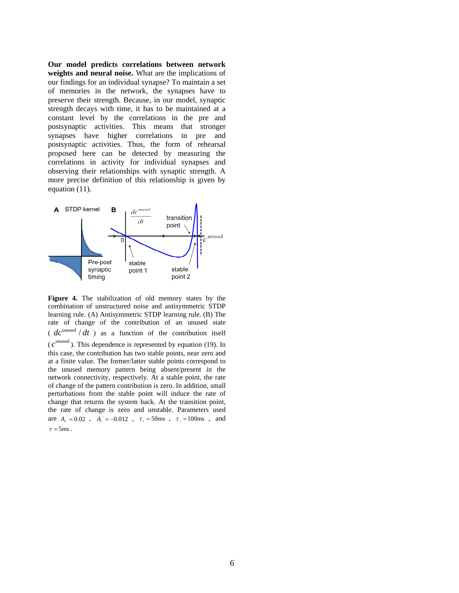**Our model predicts correlations between network weights and neural noise.** What are the implications of our findings for an individual synapse? To maintain a set of memories in the network, the synapses have to preserve their strength. Because, in our model, synaptic strength decays with time, it has to be maintained at a constant level by the correlations in the pre and postsynaptic activities. This means that stronger synapses have higher correlations in pre and postsynaptic activities. Thus, the form of rehearsal proposed here can be detected by measuring the correlations in activity for individual synapses and observing their relationships with synaptic strength. A more precise definition of this relationship is given by equation (11).



**Figure 4.** The stabilization of old memory states by the combination of unstructured noise and antisymmetric STDP learning rule. (A) Antisymmetric STDP learning rule. (B) The rate of change of the contribution of an unused state ( $dc^{unused}/dt$ ) as a function of the contribution itself  $(c^{unused})$ . This dependence is represented by equation (19). In this case, the contribution has two stable points, near zero and at a finite value. The former/latter stable points correspond to the unused memory pattern being absent/present in the network connectivity, respectively. At a stable point, the rate of change of the pattern contribution is zero. In addition, small perturbations from the stable point will induce the rate of change that returns the system back. At the transition point, the rate of change is zero and unstable. Parameters used are  $A_+ = 0.02$ ,  $A_- = -0.012$ ,  $\tau_+ = 50$ ms,  $\tau_- = 100$ ms, and  $\tau = 5$ ms.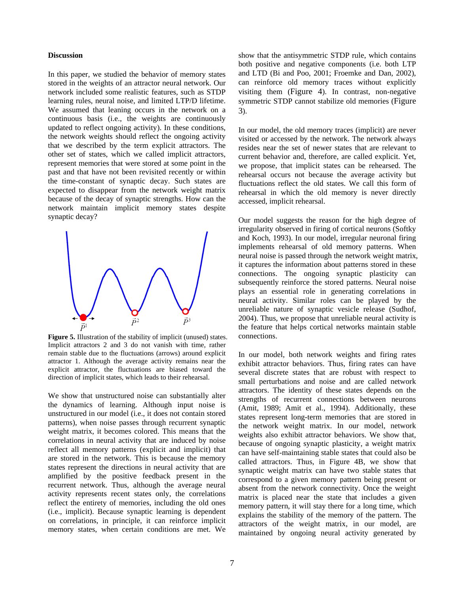#### **Discussion**

In this paper, we studied the behavior of memory states stored in the weights of an attractor neural network. Our network included some realistic features, such as STDP learning rules, neural noise, and limited LTP/D lifetime. We assumed that leaning occurs in the network on a continuous basis (i.e., the weights are continuously updated to reflect ongoing activity). In these conditions, the network weights should reflect the ongoing activity that we described by the term explicit attractors. The other set of states, which we called implicit attractors, represent memories that were stored at some point in the past and that have not been revisited recently or within the time-constant of synaptic decay. Such states are expected to disappear from the network weight matrix because of the decay of synaptic strengths. How can the network maintain implicit memory states despite synaptic decay?



**Figure 5.** Illustration of the stability of implicit (unused) states. Implicit attractors 2 and 3 do not vanish with time, rather remain stable due to the fluctuations (arrows) around explicit attractor 1. Although the average activity remains near the explicit attractor, the fluctuations are biased toward the direction of implicit states, which leads to their rehearsal.

We show that unstructured noise can substantially alter the dynamics of learning. Although input noise is unstructured in our model (i.e., it does not contain stored patterns), when noise passes through recurrent synaptic weight matrix, it becomes colored. This means that the correlations in neural activity that are induced by noise reflect all memory patterns (explicit and implicit) that are stored in the network. This is because the memory states represent the directions in neural activity that are amplified by the positive feedback present in the recurrent network. Thus, although the average neural activity represents recent states only, the correlations reflect the entirety of memories, including the old ones (i.e., implicit). Because synaptic learning is dependent on correlations, in principle, it can reinforce implicit memory states, when certain conditions are met. We

show that the antisymmetric STDP rule, which contains both positive and negative components (i.e. both LTP and LTD (Bi and Poo, 2001; Froemke and Dan, 2002), can reinforce old memory traces without explicitly visiting them (Figure 4). In contrast, non-negative symmetric STDP cannot stabilize old memories (Figure 3).

In our model, the old memory traces (implicit) are never visited or accessed by the network. The network always resides near the set of newer states that are relevant to current behavior and, therefore, are called explicit. Yet, we propose, that implicit states can be rehearsed. The rehearsal occurs not because the average activity but fluctuations reflect the old states. We call this form of rehearsal in which the old memory is never directly accessed, implicit rehearsal.

Our model suggests the reason for the high degree of irregularity observed in firing of cortical neurons (Softky and Koch, 1993). In our model, irregular neuronal firing implements rehearsal of old memory patterns. When neural noise is passed through the network weight matrix, it captures the information about patterns stored in these connections. The ongoing synaptic plasticity can subsequently reinforce the stored patterns. Neural noise plays an essential role in generating correlations in neural activity. Similar roles can be played by the unreliable nature of synaptic vesicle release (Sudhof, 2004). Thus, we propose that unreliable neural activity is the feature that helps cortical networks maintain stable connections.

In our model, both network weights and firing rates exhibit attractor behaviors. Thus, firing rates can have several discrete states that are robust with respect to small perturbations and noise and are called network attractors. The identity of these states depends on the strengths of recurrent connections between neurons (Amit, 1989; Amit et al., 1994). Additionally, these states represent long-term memories that are stored in the network weight matrix. In our model, network weights also exhibit attractor behaviors. We show that, because of ongoing synaptic plasticity, a weight matrix can have self-maintaining stable states that could also be called attractors. Thus, in Figure 4B, we show that synaptic weight matrix can have two stable states that correspond to a given memory pattern being present or absent from the network connectivity. Once the weight matrix is placed near the state that includes a given memory pattern, it will stay there for a long time, which explains the stability of the memory of the pattern. The attractors of the weight matrix, in our model, are maintained by ongoing neural activity generated by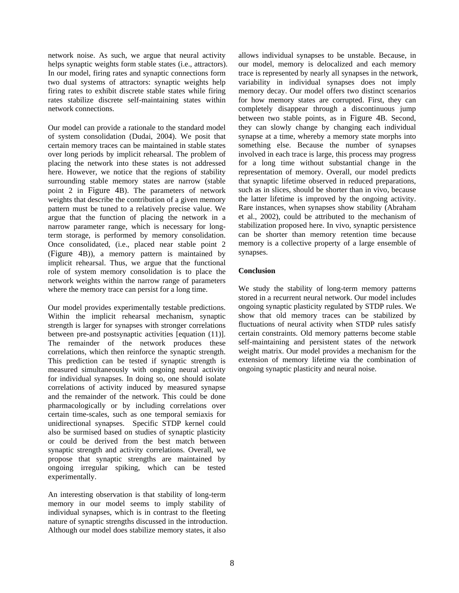network noise. As such, we argue that neural activity helps synaptic weights form stable states (i.e., attractors). In our model, firing rates and synaptic connections form two dual systems of attractors: synaptic weights help firing rates to exhibit discrete stable states while firing rates stabilize discrete self-maintaining states within network connections.

Our model can provide a rationale to the standard model of system consolidation (Dudai, 2004). We posit that certain memory traces can be maintained in stable states over long periods by implicit rehearsal. The problem of placing the network into these states is not addressed here. However, we notice that the regions of stability surrounding stable memory states are narrow (stable point 2 in Figure 4B). The parameters of network weights that describe the contribution of a given memory pattern must be tuned to a relatively precise value. We argue that the function of placing the network in a narrow parameter range, which is necessary for longterm storage, is performed by memory consolidation. Once consolidated, (i.e., placed near stable point 2 (Figure 4B)), a memory pattern is maintained by implicit rehearsal. Thus, we argue that the functional role of system memory consolidation is to place the network weights within the narrow range of parameters where the memory trace can persist for a long time.

Our model provides experimentally testable predictions. Within the implicit rehearsal mechanism, synaptic strength is larger for synapses with stronger correlations between pre-and postsynaptic activities [equation (11)]. The remainder of the network produces these correlations, which then reinforce the synaptic strength. This prediction can be tested if synaptic strength is measured simultaneously with ongoing neural activity for individual synapses. In doing so, one should isolate correlations of activity induced by measured synapse and the remainder of the network. This could be done pharmacologically or by including correlations over certain time-scales, such as one temporal semiaxis for unidirectional synapses. Specific STDP kernel could also be surmised based on studies of synaptic plasticity or could be derived from the best match between synaptic strength and activity correlations. Overall, we propose that synaptic strengths are maintained by ongoing irregular spiking, which can be tested experimentally.

An interesting observation is that stability of long-term memory in our model seems to imply stability of individual synapses, which is in contrast to the fleeting nature of synaptic strengths discussed in the introduction. Although our model does stabilize memory states, it also

allows individual synapses to be unstable. Because, in our model, memory is delocalized and each memory trace is represented by nearly all synapses in the network, variability in individual synapses does not imply memory decay. Our model offers two distinct scenarios for how memory states are corrupted. First, they can completely disappear through a discontinuous jump between two stable points, as in Figure 4B. Second, they can slowly change by changing each individual synapse at a time, whereby a memory state morphs into something else. Because the number of synapses involved in each trace is large, this process may progress for a long time without substantial change in the representation of memory. Overall, our model predicts that synaptic lifetime observed in reduced preparations, such as in slices, should be shorter than in vivo, because the latter lifetime is improved by the ongoing activity. Rare instances, when synapses show stability (Abraham et al., 2002), could be attributed to the mechanism of stabilization proposed here. In vivo, synaptic persistence can be shorter than memory retention time because memory is a collective property of a large ensemble of synapses.

## **Conclusion**

We study the stability of long-term memory patterns stored in a recurrent neural network. Our model includes ongoing synaptic plasticity regulated by STDP rules. We show that old memory traces can be stabilized by fluctuations of neural activity when STDP rules satisfy certain constraints. Old memory patterns become stable self-maintaining and persistent states of the network weight matrix. Our model provides a mechanism for the extension of memory lifetime via the combination of ongoing synaptic plasticity and neural noise.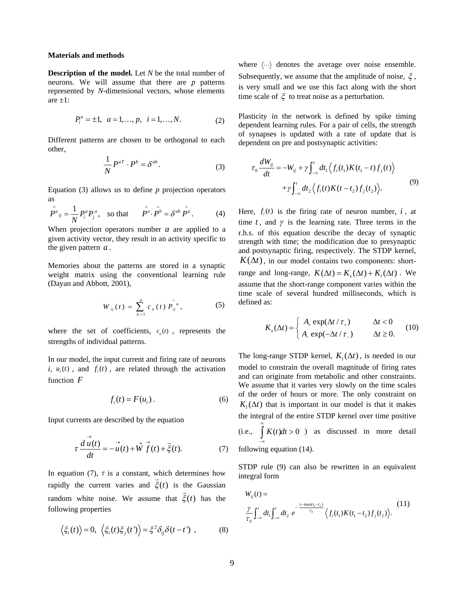#### **Materials and methods**

**Description of the model.** Let *N* be the total number of neurons. We will assume that there are *p* patterns represented by *N*-dimensional vectors, whose elements are  $\pm 1$ :

$$
P_i^a = \pm 1, \ a = 1, \dots, p, \ i = 1, \dots, N. \tag{2}
$$

Different patterns are chosen to be orthogonal to each other,

$$
\frac{1}{N}P^{aT}\cdot P^b = \delta^{ab}.\tag{3}
$$

Equation (3) allows us to define *p* projection operators as

$$
\stackrel{\wedge}{P}^a{}_{ij} = \frac{1}{N} P_i^a P_j^a, \quad \text{so that} \qquad \stackrel{\wedge}{P}^a \cdot \stackrel{\wedge}{P}^b = \delta^{ab} \stackrel{\wedge}{P}^a. \tag{4}
$$

When projection operators number *a* are applied to a given activity vector, they result in an activity specific to the given pattern *a* .

Memories about the patterns are stored in a synaptic weight matrix using the conventional learning rule (Dayan and Abbott, 2001),

$$
W_{ij}(t) = \sum_{a=1}^{p} c_a(t) P_{ij}^{a}, \qquad (5)
$$

where the set of coefficients,  $c_a(t)$ , represents the strengths of individual patterns.

In our model, the input current and firing rate of neurons *i,*  $u_i(t)$ , and  $f_i(t)$ , are related through the activation function *F*

$$
f_i(t) = F(u_i).
$$
 (6)

Input currents are described by the equation

$$
\tau \frac{d\vec{u}(t)}{dt} = -\vec{u}(t) + \hat{W}\vec{f}(t) + \vec{\xi}(t). \tag{7}
$$

In equation (7),  $\tau$  is a constant, which determines how rapidly the current varies and  $\xi(t)$  is the Gaussian random white noise. We assume that  $\xi(t)$  has the following properties

$$
\langle \xi_i(t) \rangle = 0, \ \langle \xi_i(t) \xi_j(t') \rangle = \xi^2 \delta_{ij} \delta(t - t') \ , \tag{8}
$$

where  $\langle \dots \rangle$  denotes the average over noise ensemble. Subsequently, we assume that the amplitude of noise,  $\xi$ , is very small and we use this fact along with the short time scale of  $\xi$  to treat noise as a perturbation.

Plasticity in the network is defined by spike timing dependent learning rules. For a pair of cells, the strength of synapses is updated with a rate of update that is dependent on pre and postsynaptic activities:

$$
\tau_0 \frac{dW_{ij}}{dt} = -W_{ij} + \gamma \int_{-\infty}^t dt_1 \left\langle f_i(t_1)K(t_1 - t) f_j(t) \right\rangle
$$
  
+
$$
\gamma \int_{-\infty}^t dt_2 \left\langle f_i(t)K(t - t_2) f_j(t_2) \right\rangle.
$$
 (9)

Here,  $f_i(t)$  is the firing rate of neuron number,  $i$ , at time  $t$ , and  $\gamma$  is the learning rate. Three terms in the r.h.s. of this equation describe the decay of synaptic strength with time; the modification due to presynaptic and postsynaptic firing, respectively. The STDP kernel,  $K(\Delta t)$ , in our model contains two components: shortrange and long-range,  $K(\Delta t) = K_s(\Delta t) + K_t(\Delta t)$ . We assume that the short-range component varies within the time scale of several hundred milliseconds, which is defined as:

$$
K_s(\Delta t) = \begin{cases} A_+ \exp(\Delta t / \tau_+) & \Delta t < 0 \\ A_- \exp(-\Delta t / \tau_-) & \Delta t \ge 0. \end{cases} (10)
$$

The long-range STDP kernel,  $K_i(\Delta t)$ , is needed in our model to constrain the overall magnitude of firing rates and can originate from metabolic and other constraints. We assume that it varies very slowly on the time scales of the order of hours or more. The only constraint on  $K_i(\Delta t)$  that is important in our model is that it makes the integral of the entire STDP kernel over time positive (i.e.,  $K(t)dt > 0$  $\infty$  $-\infty$  $K(t)dt > 0$  ) as discussed in more detail following equation (14).

STDP rule (9) can also be rewritten in an equivalent integral form

$$
W_{ij}(t) = \frac{\gamma}{\tau_0} \int_{-\infty}^{t} dt_1 \int_{-\infty}^{t} dt_2 e^{-\frac{t - \max(t_1 - t_2)}{\tau_0}} \langle f_i(t_1) K(t_1 - t_2) f_j(t_2) \rangle.
$$
 (11)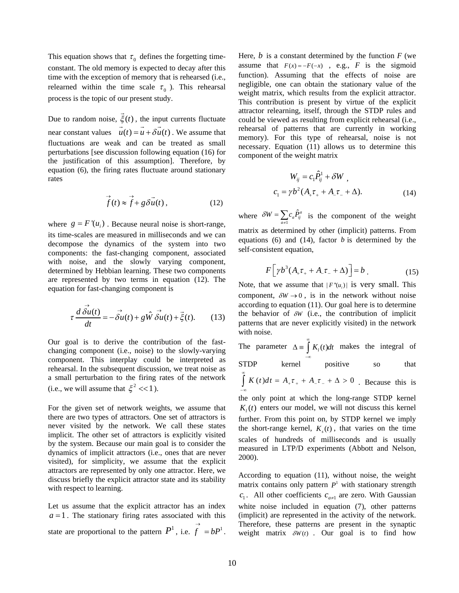This equation shows that  $\tau_0$  defines the forgetting timeconstant. The old memory is expected to decay after this time with the exception of memory that is rehearsed (i.e., relearned within the time scale  $\tau_0$ ). This rehearsal process is the topic of our present study.

Due to random noise,  $\xi(t)$ ,  $\overline{\phantom{a}}$ , the input currents fluctuate near constant values  $u(t) = u + \delta u(t)$ .  $\frac{1}{2}$  (*v*), the mpa . We assume that fluctuations are weak and can be treated as small perturbations [see discussion following equation (16) for the justification of this assumption]. Therefore, by equation (6), the firing rates fluctuate around stationary rates

$$
\overrightarrow{f}(t) \approx \overrightarrow{f} + g \overrightarrow{\delta u}(t) , \qquad (12)
$$

where  $g = F'(u_i)$ . Because neural noise is short-range, its time-scales are measured in milliseconds and we can decompose the dynamics of the system into two components: the fast-changing component, associated with noise, and the slowly varying component, determined by Hebbian learning. These two components are represented by two terms in equation (12). The equation for fast-changing component is

$$
\tau \frac{d \vec{\delta u}(t)}{dt} = -\vec{\delta u}(t) + g\hat{W} \vec{\delta u}(t) + \vec{\xi}(t). \qquad (13)
$$

Our goal is to derive the contribution of the fastchanging component (i.e., noise) to the slowly-varying component. This interplay could be interpreted as rehearsal. In the subsequent discussion, we treat noise as a small perturbation to the firing rates of the network (i.e., we will assume that  $\xi^2 \ll 1$ ).

For the given set of network weights, we assume that there are two types of attractors. One set of attractors is never visited by the network. We call these states implicit. The other set of attractors is explicitly visited by the system. Because our main goal is to consider the dynamics of implicit attractors (i.e., ones that are never visited), for simplicity, we assume that the explicit attractors are represented by only one attractor. Here, we discuss briefly the explicit attractor state and its stability with respect to learning.

Let us assume that the explicit attractor has an index  $a = 1$ . The stationary firing rates associated with this state are proportional to the pattern  $P^1$ , i.e.  $f = bP^1$  $\rightarrow$  $= bP^{\perp}$ . Here, *b* is a constant determined by the function *F* (we assume that  $F(x) = -F(-x)$ , e.g., *F* is the sigmoid function). Assuming that the effects of noise are negligible, one can obtain the stationary value of the weight matrix, which results from the explicit attractor. This contribution is present by virtue of the explicit attractor relearning, itself, through the STDP rules and could be viewed as resulting from explicit rehearsal (i.e., rehearsal of patterns that are currently in working memory). For this type of rehearsal, noise is not necessary. Equation (11) allows us to determine this component of the weight matrix

$$
W_{ij} = c_1 \hat{P}_{ij}^1 + \delta W ,
$$
  
\n
$$
c_1 = \gamma b^2 (A_+ \tau_+ + A_- \tau_- + \Delta).
$$
 (14)

where  $\delta W = \sum_{a \neq 1}$  $\sum_{a \neq 1} c_a \hat{P}^a_{ij}$  $\delta W = \sum c_a \dot{P}_{ii}^c$  $=\sum_{a\neq 1}c_a\hat{P}_{ij}^a$  is the component of the weight matrix as determined by other (implicit) patterns. From equations (6) and (14), factor *b* is determined by the self-consistent equation,

$$
F\left[\gamma b^3 (A_+ \tau_+ + A_- \tau_- + \Delta)\right] = b \tag{15}
$$

Note, that we assume that  $|F''(u_i)|$  is very small. This component,  $\delta W \rightarrow 0$ , is in the network without noise according to equation (11). Our goal here is to determine the behavior of  $\delta W$  (i.e., the contribution of implicit patterns that are never explicitly visited) in the network with noise.

The parameter  $\Delta = \int_{0}^{\infty} K_i(t) dt$  $-\infty$  $\Delta \equiv \int K_l(t)dt$  makes the integral of STDP kernel positive so that  $K(t)dt = A_{+} \tau_{+} + A_{-} \tau_{-} + \Delta > 0$ ∞  $+$   $+$   $+$   $+$   $+$   $+$   $\int_{-\infty}^{+\infty} K(t)dt = A_{+}\tau_{+} + A_{-}\tau_{-} + \Delta > 0$ . Because this is the only point at which the long-range STDP kernel

 $K_i(t)$  enters our model, we will not discuss this kernel further. From this point on, by STDP kernel we imply the short-range kernel,  $K<sub>s</sub>(t)$ , that varies on the time scales of hundreds of milliseconds and is usually measured in LTP/D experiments (Abbott and Nelson, 2000).

According to equation (11), without noise, the weight matrix contains only pattern  $P<sup>1</sup>$  with stationary strength  $c_1$ . All other coefficients  $c_{a\neq 1}$  are zero. With Gaussian white noise included in equation (7), other patterns (implicit) are represented in the activity of the network. Therefore, these patterns are present in the synaptic weight matrix  $\delta W(t)$ . Our goal is to find how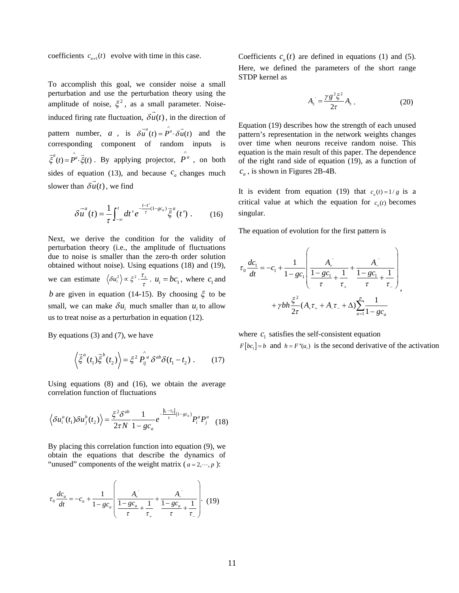coefficients  $c_{a\neq 1}(t)$  evolve with time in this case.

To accomplish this goal, we consider noise a small perturbation and use the perturbation theory using the amplitude of noise,  $\xi^2$ , as a small parameter. Noiseinduced firing rate fluctuation,  $\delta u(t)$ ,  $\rightarrow$ , in the direction of pattern number, *a*, is  $\delta \vec{u}^a(t) = \vec{P}^a \cdot \delta \vec{u}(t)$  $\rightarrow a$   $\wedge$   $\rightarrow$ and the corresponding component of random inputs is  $\vec{\xi}^{a}(t) = \vec{P}^{a} \cdot \vec{\xi}(t)$ .  $\rightarrow a$   $\wedge$   $\rightarrow$ . By applying projector,  $\hat{P}^a$ , on both sides of equation (13), and because  $c_a$  changes much slower than  $\delta u(t)$ , we find

$$
\vec{\delta u}^{a}(t) = \frac{1}{\tau} \int_{-\infty}^{t} dt' e^{-\frac{t-t'}{\tau}(1 - gc_{a})} \vec{\xi}^{a}(t'). \qquad (16)
$$

Next, we derive the condition for the validity of perturbation theory (i.e., the amplitude of fluctuations due to noise is smaller than the zero-th order solution obtained without noise). Using equations (18) and (19), we can estimate  $\langle \delta u_i^2 \rangle \propto \xi^2 \cdot \frac{\tau_{\pm}}{\tau}$ ,  $u_i = bc_1$ , where  $c_1$  and *b* are given in equation (14-15). By choosing  $\xi$  to be small, we can make  $\delta u_i$  much smaller than  $u_i$  to allow us to treat noise as a perturbation in equation (12).

By equations (3) and (7), we have

$$
\left\langle \vec{\xi}^{a}(t_{1})\vec{\xi}^{b}(t_{2}) \right\rangle = \xi^{2} \stackrel{\wedge}{P_{ij}^{a}} \delta^{ab} \delta(t_{1} - t_{2}). \tag{17}
$$

Using equations (8) and (16), we obtain the average correlation function of fluctuations

$$
\left\langle \delta u_i^a(t_1) \delta u_j^b(t_2) \right\rangle = \frac{\xi^2 \delta^{ab}}{2\tau N} \frac{1}{1 - g c_a} e^{-\frac{|t_1 - t_2|}{\tau} (1 - g c_a)} P_i^a P_j^a \quad (18)
$$

By placing this correlation function into equation (9), we obtain the equations that describe the dynamics of "unused" components of the weight matrix ( $a = 2, \dots, p$ ):

$$
\tau_0 \frac{dc_a}{dt} = -c_a + \frac{1}{1 - gc_a} \left( \frac{A_+}{\frac{1 - gc_a}{\tau} + \frac{1}{\tau_+}} + \frac{A_-}{\frac{1 - gc_a}{\tau} + \frac{1}{\tau_-}} \right). \tag{19}
$$

Coefficients  $c_a(t)$  are defined in equations (1) and (5). Here, we defined the parameters of the short range STDP kernel as

$$
A_{\pm} = \frac{\gamma g^2 \xi^2}{2\tau} A_{\pm} \,. \tag{20}
$$

Equation (19) describes how the strength of each unused pattern's representation in the network weights changes over time when neurons receive random noise. This equation is the main result of this paper. The dependence of the right rand side of equation (19), as a function of  $c_a$ , is shown in Figures 2B-4B.

It is evident from equation (19) that  $c_a(t) = 1 / g$  is a critical value at which the equation for  $c_a(t)$  becomes singular.

The equation of evolution for the first pattern is

$$
\tau_0 \frac{dc_1}{dt} = -c_1 + \frac{1}{1 - gc_1} \left( \frac{A_1}{\frac{1 - gc_1}{\tau} + \frac{1}{\tau_+}} + \frac{A_1}{\frac{1 - gc_1}{\tau} + \frac{1}{\tau_-}} \right) + \gamma bh \frac{\xi^2}{2\tau} (A_1 \tau_+ + A_2 \tau_- + \Delta) \sum_{a=1}^p \frac{1}{1 - gc_a}.
$$

where  $c_1$  satisfies the self-consistent equation

 $F[b_{c_i}] = b$  and  $h = F''(u_i)$  is the second derivative of the activation.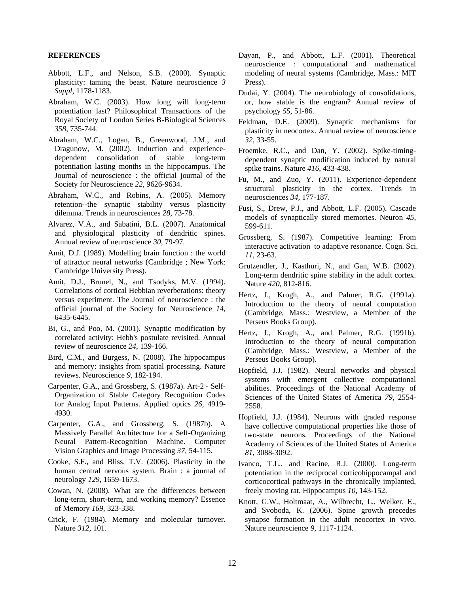### **REFERENCES**

- Abbott, L.F., and Nelson, S.B. (2000). Synaptic plasticity: taming the beast. Nature neuroscience *3 Suppl*, 1178-1183.
- Abraham, W.C. (2003). How long will long-term potentiation last? Philosophical Transactions of the Royal Society of London Series B-Biological Sciences *358*, 735-744.
- Abraham, W.C., Logan, B., Greenwood, J.M., and Dragunow, M. (2002). Induction and experiencedependent consolidation of stable long-term potentiation lasting months in the hippocampus. The Journal of neuroscience : the official journal of the Society for Neuroscience *22*, 9626-9634.
- Abraham, W.C., and Robins, A. (2005). Memory retention--the synaptic stability versus plasticity dilemma. Trends in neurosciences *28*, 73-78.
- Alvarez, V.A., and Sabatini, B.L. (2007). Anatomical and physiological plasticity of dendritic spines. Annual review of neuroscience *30*, 79-97.
- Amit, D.J. (1989). Modelling brain function : the world of attractor neural networks (Cambridge ; New York: Cambridge University Press).
- Amit, D.J., Brunel, N., and Tsodyks, M.V. (1994). Correlations of cortical Hebbian reverberations: theory versus experiment. The Journal of neuroscience : the official journal of the Society for Neuroscience *14*, 6435-6445.
- Bi, G., and Poo, M. (2001). Synaptic modification by correlated activity: Hebb's postulate revisited. Annual review of neuroscience *24*, 139-166.
- Bird, C.M., and Burgess, N. (2008). The hippocampus and memory: insights from spatial processing. Nature reviews. Neuroscience *9*, 182-194.
- Carpenter, G.A., and Grossberg, S. (1987a). Art-2 Self-Organization of Stable Category Recognition Codes for Analog Input Patterns. Applied optics *26*, 4919- 4930.
- Carpenter, G.A., and Grossberg, S. (1987b). A Massively Parallel Architecture for a Self-Organizing Neural Pattern-Recognition Machine. Computer Vision Graphics and Image Processing *37*, 54-115.
- Cooke, S.F., and Bliss, T.V. (2006). Plasticity in the human central nervous system. Brain : a journal of neurology *129*, 1659-1673.
- Cowan, N. (2008). What are the differences between long-term, short-term, and working memory? Essence of Memory *169*, 323-338.
- Crick, F. (1984). Memory and molecular turnover. Nature *312*, 101.
- Dayan, P., and Abbott, L.F. (2001). Theoretical neuroscience : computational and mathematical modeling of neural systems (Cambridge, Mass.: MIT Press).
- Dudai, Y. (2004). The neurobiology of consolidations, or, how stable is the engram? Annual review of psychology *55*, 51-86.
- Feldman, D.E. (2009). Synaptic mechanisms for plasticity in neocortex. Annual review of neuroscience *32*, 33-55.
- Froemke, R.C., and Dan, Y. (2002). Spike-timingdependent synaptic modification induced by natural spike trains. Nature *416*, 433-438.
- Fu, M., and Zuo, Y. (2011). Experience-dependent structural plasticity in the cortex. Trends in neurosciences *34*, 177-187.
- Fusi, S., Drew, P.J., and Abbott, L.F. (2005). Cascade models of synaptically stored memories. Neuron *45*, 599-611.
- Grossberg, S. (1987). Competitive learning: From interactive activation to adaptive resonance. Cogn. Sci. *11*, 23-63.
- Grutzendler, J., Kasthuri, N., and Gan, W.B. (2002). Long-term dendritic spine stability in the adult cortex. Nature *420*, 812-816.
- Hertz, J., Krogh, A., and Palmer, R.G. (1991a). Introduction to the theory of neural computation (Cambridge, Mass.: Westview, a Member of the Perseus Books Group).
- Hertz, J., Krogh, A., and Palmer, R.G. (1991b). Introduction to the theory of neural computation (Cambridge, Mass.: Westview, a Member of the Perseus Books Group).
- Hopfield, J.J. (1982). Neural networks and physical systems with emergent collective computational abilities. Proceedings of the National Academy of Sciences of the United States of America *79*, 2554- 2558.
- Hopfield, J.J. (1984). Neurons with graded response have collective computational properties like those of two-state neurons. Proceedings of the National Academy of Sciences of the United States of America *81*, 3088-3092.
- Ivanco, T.L., and Racine, R.J. (2000). Long-term potentiation in the reciprocal corticohippocampal and corticocortical pathways in the chronically implanted, freely moving rat. Hippocampus *10*, 143-152.
- Knott, G.W., Holtmaat, A., Wilbrecht, L., Welker, E., and Svoboda, K. (2006). Spine growth precedes synapse formation in the adult neocortex in vivo. Nature neuroscience *9*, 1117-1124.